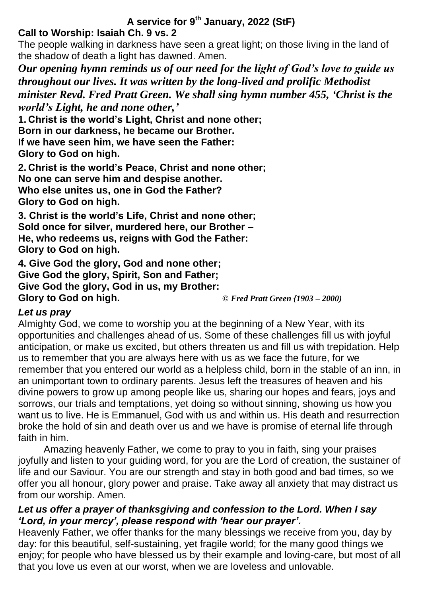## **A service for 9 th January, 2022 (StF)**

# **Call to Worship: Isaiah Ch. 9 vs. 2**

The people walking in darkness have seen a great light; on those living in the land of the shadow of death a light has dawned. Amen.

*Our opening hymn reminds us of our need for the light of God's love to guide us throughout our lives. It was written by the long-lived and prolific Methodist minister Revd. Fred Pratt Green. We shall sing hymn number 455, 'Christ is the world's Light, he and none other, '*

**1. Christ is the world's Light, Christ and none other; Born in our darkness, he became our Brother. If we have seen him, we have seen the Father: Glory to God on high.**

**2. Christ is the world's Peace, Christ and none other; No one can serve him and despise another. Who else unites us, one in God the Father? Glory to God on high.**

**3. Christ is the world's Life, Christ and none other; Sold once for silver, murdered here, our Brother – He, who redeems us, reigns with God the Father: Glory to God on high.** 

**4. Give God the glory, God and none other; Give God the glory, Spirit, Son and Father; Give God the glory, God in us, my Brother: Glory to God on high.** *© Fred Pratt Green {1903 – 2000)* 

## *Let us pray*

Almighty God, we come to worship you at the beginning of a New Year, with its opportunities and challenges ahead of us. Some of these challenges fill us with joyful anticipation, or make us excited, but others threaten us and fill us with trepidation. Help us to remember that you are always here with us as we face the future, for we remember that you entered our world as a helpless child, born in the stable of an inn, in an unimportant town to ordinary parents. Jesus left the treasures of heaven and his divine powers to grow up among people like us, sharing our hopes and fears, joys and sorrows, our trials and temptations, yet doing so without sinning, showing us how you want us to live. He is Emmanuel, God with us and within us. His death and resurrection broke the hold of sin and death over us and we have is promise of eternal life through faith in him.

Amazing heavenly Father, we come to pray to you in faith, sing your praises joyfully and listen to your guiding word, for you are the Lord of creation, the sustainer of life and our Saviour. You are our strength and stay in both good and bad times, so we offer you all honour, glory power and praise. Take away all anxiety that may distract us from our worship. Amen.

## *Let us offer a prayer of thanksgiving and confession to the Lord. When I say 'Lord, in your mercy', please respond with 'hear our prayer'.*

Heavenly Father, we offer thanks for the many blessings we receive from you, day by day: for this beautiful, self-sustaining, yet fragile world; for the many good things we enjoy; for people who have blessed us by their example and loving-care, but most of all that you love us even at our worst, when we are loveless and unlovable.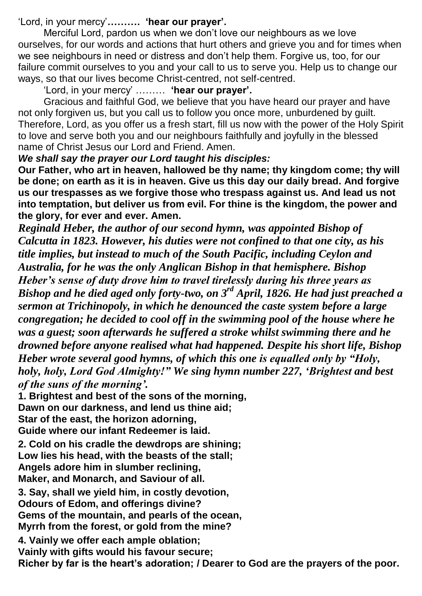'Lord, in your mercy'**………. 'hear our prayer'.**

Merciful Lord, pardon us when we don't love our neighbours as we love ourselves, for our words and actions that hurt others and grieve you and for times when we see neighbours in need or distress and don't help them. Forgive us, too, for our failure commit ourselves to you and your call to us to serve you. Help us to change our ways, so that our lives become Christ-centred, not self-centred.

'Lord, in your mercy' ……… **'hear our prayer'.**

Gracious and faithful God, we believe that you have heard our prayer and have not only forgiven us, but you call us to follow you once more, unburdened by guilt. Therefore, Lord, as you offer us a fresh start, fill us now with the power of the Holy Spirit to love and serve both you and our neighbours faithfully and joyfully in the blessed name of Christ Jesus our Lord and Friend. Amen.

*We shall say the prayer our Lord taught his disciples:*

**Our Father, who art in heaven, hallowed be thy name; thy kingdom come; thy will be done; on earth as it is in heaven. Give us this day our daily bread. And forgive us our trespasses as we forgive those who trespass against us. And lead us not into temptation, but deliver us from evil. For thine is the kingdom, the power and the glory, for ever and ever. Amen.**

*Reginald Heber, the author of our second hymn, was appointed Bishop of Calcutta in 1823. However, his duties were not confined to that one city, as his title implies, but instead to much of the South Pacific, including Ceylon and Australia, for he was the only Anglican Bishop in that hemisphere. Bishop Heber's sense of duty drove him to travel tirelessly during his three years as Bishop and he died aged only forty-two, on 3rd April, 1826. He had just preached a sermon at Trichinopoly, in which he denounced the caste system before a large congregation; he decided to cool off in the swimming pool of the house where he was a guest; soon afterwards he suffered a stroke whilst swimming there and he drowned before anyone realised what had happened. Despite his short life, Bishop Heber wrote several good hymns, of which this one is equalled only by "Holy, holy, holy, Lord God Almighty!" We sing hymn number 227, 'Brightest and best of the suns of the morning'.*

**1. Brightest and best of the sons of the morning, Dawn on our darkness, and lend us thine aid; Star of the east, the horizon adorning, Guide where our infant Redeemer is laid.**

**2. Cold on his cradle the dewdrops are shining; Low lies his head, with the beasts of the stall; Angels adore him in slumber reclining, Maker, and Monarch, and Saviour of all.**

**3. Say, shall we yield him, in costly devotion, Odours of Edom, and offerings divine? Gems of the mountain, and pearls of the ocean, Myrrh from the forest, or gold from the mine?**

**4. Vainly we offer each ample oblation; Vainly with gifts would his favour secure; Richer by far is the heart's adoration; / Dearer to God are the prayers of the poor.**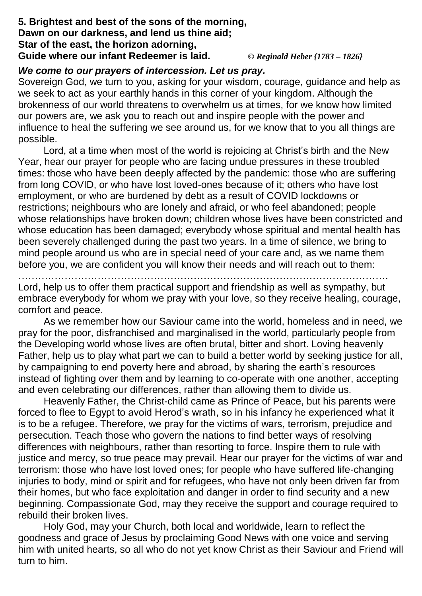## **5. Brightest and best of the sons of the morning, Dawn on our darkness, and lend us thine aid; Star of the east, the horizon adorning, Guide where our infant Redeemer is laid.** *© Reginald Heber {1783 – 1826}*

### *We come to our prayers of intercession. Let us pray.*

Sovereign God, we turn to you, asking for your wisdom, courage, guidance and help as we seek to act as your earthly hands in this corner of your kingdom. Although the brokenness of our world threatens to overwhelm us at times, for we know how limited our powers are, we ask you to reach out and inspire people with the power and influence to heal the suffering we see around us, for we know that to you all things are possible.

Lord, at a time when most of the world is rejoicing at Christ's birth and the New Year, hear our prayer for people who are facing undue pressures in these troubled times: those who have been deeply affected by the pandemic: those who are suffering from long COVID, or who have lost loved-ones because of it; others who have lost employment, or who are burdened by debt as a result of COVID lockdowns or restrictions; neighbours who are lonely and afraid, or who feel abandoned; people whose relationships have broken down; children whose lives have been constricted and whose education has been damaged; everybody whose spiritual and mental health has been severely challenged during the past two years. In a time of silence, we bring to mind people around us who are in special need of your care and, as we name them before you, we are confident you will know their needs and will reach out to them:

Lord, help us to offer them practical support and friendship as well as sympathy, but embrace everybody for whom we pray with your love, so they receive healing, courage, comfort and peace.

………………………………………………………………………………………………….

As we remember how our Saviour came into the world, homeless and in need, we pray for the poor, disfranchised and marginalised in the world, particularly people from the Developing world whose lives are often brutal, bitter and short. Loving heavenly Father, help us to play what part we can to build a better world by seeking justice for all, by campaigning to end poverty here and abroad, by sharing the earth's resources instead of fighting over them and by learning to co-operate with one another, accepting and even celebrating our differences, rather than allowing them to divide us.

Heavenly Father, the Christ-child came as Prince of Peace, but his parents were forced to flee to Egypt to avoid Herod's wrath, so in his infancy he experienced what it is to be a refugee. Therefore, we pray for the victims of wars, terrorism, prejudice and persecution. Teach those who govern the nations to find better ways of resolving differences with neighbours, rather than resorting to force. Inspire them to rule with justice and mercy, so true peace may prevail. Hear our prayer for the victims of war and terrorism: those who have lost loved ones; for people who have suffered life-changing injuries to body, mind or spirit and for refugees, who have not only been driven far from their homes, but who face exploitation and danger in order to find security and a new beginning. Compassionate God, may they receive the support and courage required to rebuild their broken lives.

Holy God, may your Church, both local and worldwide, learn to reflect the goodness and grace of Jesus by proclaiming Good News with one voice and serving him with united hearts, so all who do not yet know Christ as their Saviour and Friend will turn to him.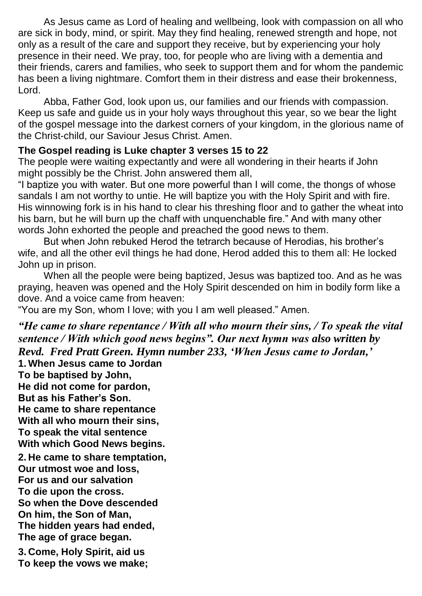As Jesus came as Lord of healing and wellbeing, look with compassion on all who are sick in body, mind, or spirit. May they find healing, renewed strength and hope, not only as a result of the care and support they receive, but by experiencing your holy presence in their need. We pray, too, for people who are living with a dementia and their friends, carers and families, who seek to support them and for whom the pandemic has been a living nightmare. Comfort them in their distress and ease their brokenness, Lord.

Abba, Father God, look upon us, our families and our friends with compassion. Keep us safe and guide us in your holy ways throughout this year, so we bear the light of the gospel message into the darkest corners of your kingdom, in the glorious name of the Christ-child, our Saviour Jesus Christ. Amen.

## **The Gospel reading is Luke chapter 3 verses 15 to 22**

The people were waiting expectantly and were all wondering in their hearts if John might possibly be the Christ. John answered them all,

"I baptize you with water. But one more powerful than I will come, the thongs of whose sandals I am not worthy to untie. He will baptize you with the Holy Spirit and with fire. His winnowing fork is in his hand to clear his threshing floor and to gather the wheat into his barn, but he will burn up the chaff with unquenchable fire." And with many other words John exhorted the people and preached the good news to them.

But when John rebuked Herod the tetrarch because of Herodias, his brother's wife, and all the other evil things he had done, Herod added this to them all: He locked John up in prison.

When all the people were being baptized, Jesus was baptized too. And as he was praying, heaven was opened and the Holy Spirit descended on him in bodily form like a dove. And a voice came from heaven:

"You are my Son, whom I love; with you I am well pleased." Amen.

*"He came to share repentance / With all who mourn their sins, / To speak the vital sentence / With which good news begins". Our next hymn was also written by Revd. Fred Pratt Green. Hymn number 233, 'When Jesus came to Jordan,'*

**1. When Jesus came to Jordan To be baptised by John, He did not come for pardon, But as his Father's Son. He came to share repentance With all who mourn their sins, To speak the vital sentence With which Good News begins.**

**2. He came to share temptation, Our utmost woe and loss, For us and our salvation To die upon the cross. So when the Dove descended On him, the Son of Man, The hidden years had ended, The age of grace began.**

**3. Come, Holy Spirit, aid us To keep the vows we make;**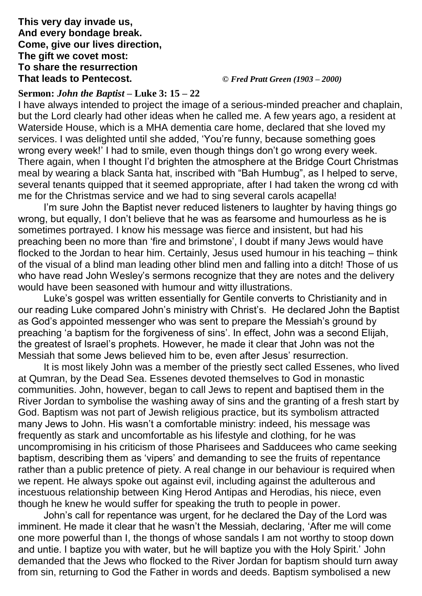**This very day invade us, And every bondage break. Come, give our lives direction, The gift we covet most: To share the resurrection That leads to Pentecost.** *© Fred Pratt Green (1903 – 2000)*

#### **Sermon:** *John the Baptist –* **Luke 3: 15 – 22**

I have always intended to project the image of a serious-minded preacher and chaplain, but the Lord clearly had other ideas when he called me. A few years ago, a resident at Waterside House, which is a MHA dementia care home, declared that she loved my services. I was delighted until she added, 'You're funny, because something goes wrong every week!' I had to smile, even though things don't go wrong every week. There again, when I thought I'd brighten the atmosphere at the Bridge Court Christmas meal by wearing a black Santa hat, inscribed with "Bah Humbug", as I helped to serve, several tenants quipped that it seemed appropriate, after I had taken the wrong cd with me for the Christmas service and we had to sing several carols acapella!

I'm sure John the Baptist never reduced listeners to laughter by having things go wrong, but equally, I don't believe that he was as fearsome and humourless as he is sometimes portrayed. I know his message was fierce and insistent, but had his preaching been no more than 'fire and brimstone', I doubt if many Jews would have flocked to the Jordan to hear him. Certainly, Jesus used humour in his teaching – think of the visual of a blind man leading other blind men and falling into a ditch! Those of us who have read John Wesley's sermons recognize that they are notes and the delivery would have been seasoned with humour and witty illustrations.

Luke's gospel was written essentially for Gentile converts to Christianity and in our reading Luke compared John's ministry with Christ's. He declared John the Baptist as God's appointed messenger who was sent to prepare the Messiah's ground by preaching 'a baptism for the forgiveness of sins'. In effect, John was a second Elijah, the greatest of Israel's prophets. However, he made it clear that John was not the Messiah that some Jews believed him to be, even after Jesus' resurrection.

It is most likely John was a member of the priestly sect called Essenes, who lived at Qumran, by the Dead Sea. Essenes devoted themselves to God in monastic communities. John, however, began to call Jews to repent and baptised them in the River Jordan to symbolise the washing away of sins and the granting of a fresh start by God. Baptism was not part of Jewish religious practice, but its symbolism attracted many Jews to John. His wasn't a comfortable ministry: indeed, his message was frequently as stark and uncomfortable as his lifestyle and clothing, for he was uncompromising in his criticism of those Pharisees and Sadducees who came seeking baptism, describing them as 'vipers' and demanding to see the fruits of repentance rather than a public pretence of piety. A real change in our behaviour is required when we repent. He always spoke out against evil, including against the adulterous and incestuous relationship between King Herod Antipas and Herodias, his niece, even though he knew he would suffer for speaking the truth to people in power.

John's call for repentance was urgent, for he declared the Day of the Lord was imminent. He made it clear that he wasn't the Messiah, declaring, 'After me will come one more powerful than I, the thongs of whose sandals I am not worthy to stoop down and untie. I baptize you with water, but he will baptize you with the Holy Spirit.' John demanded that the Jews who flocked to the River Jordan for baptism should turn away from sin, returning to God the Father in words and deeds. Baptism symbolised a new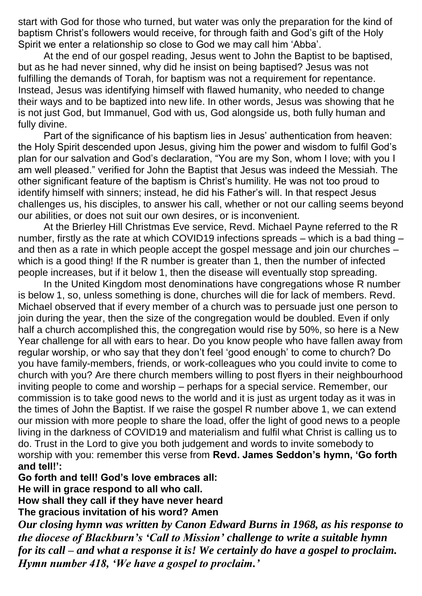start with God for those who turned, but water was only the preparation for the kind of baptism Christ's followers would receive, for through faith and God's gift of the Holy Spirit we enter a relationship so close to God we may call him 'Abba'.

At the end of our gospel reading, Jesus went to John the Baptist to be baptised, but as he had never sinned, why did he insist on being baptised? Jesus was not fulfilling the demands of Torah, for baptism was not a requirement for repentance. Instead, Jesus was identifying himself with flawed humanity, who needed to change their ways and to be baptized into new life. In other words, Jesus was showing that he is not just God, but Immanuel, God with us, God alongside us, both fully human and fully divine.

Part of the significance of his baptism lies in Jesus' authentication from heaven: the Holy Spirit descended upon Jesus, giving him the power and wisdom to fulfil God's plan for our salvation and God's declaration, "You are my Son, whom I love; with you I am well pleased." verified for John the Baptist that Jesus was indeed the Messiah. The other significant feature of the baptism is Christ's humility. He was not too proud to identify himself with sinners; instead, he did his Father's will. In that respect Jesus challenges us, his disciples, to answer his call, whether or not our calling seems beyond our abilities, or does not suit our own desires, or is inconvenient.

At the Brierley Hill Christmas Eve service, Revd. Michael Payne referred to the R number, firstly as the rate at which COVID19 infections spreads – which is a bad thing – and then as a rate in which people accept the gospel message and join our churches – which is a good thing! If the R number is greater than 1, then the number of infected people increases, but if it below 1, then the disease will eventually stop spreading.

In the United Kingdom most denominations have congregations whose R number is below 1, so, unless something is done, churches will die for lack of members. Revd. Michael observed that if every member of a church was to persuade just one person to join during the year, then the size of the congregation would be doubled. Even if only half a church accomplished this, the congregation would rise by 50%, so here is a New Year challenge for all with ears to hear. Do you know people who have fallen away from regular worship, or who say that they don't feel 'good enough' to come to church? Do you have family-members, friends, or work-colleagues who you could invite to come to church with you? Are there church members willing to post flyers in their neighbourhood inviting people to come and worship – perhaps for a special service. Remember, our commission is to take good news to the world and it is just as urgent today as it was in the times of John the Baptist. If we raise the gospel R number above 1, we can extend our mission with more people to share the load, offer the light of good news to a people living in the darkness of COVID19 and materialism and fulfil what Christ is calling us to do. Trust in the Lord to give you both judgement and words to invite somebody to worship with you: remember this verse from **Revd. James Seddon's hymn, 'Go forth and tell!':** 

#### **Go forth and tell! God's love embraces all: He will in grace respond to all who call. How shall they call if they have never heard The gracious invitation of his word? Amen**

*Our closing hymn was written by Canon Edward Burns in 1968, as his response to the diocese of Blackburn's 'Call to Mission' challenge to write a suitable hymn for its call – and what a response it is! We certainly do have a gospel to proclaim. Hymn number 418, 'We have a gospel to proclaim.'*